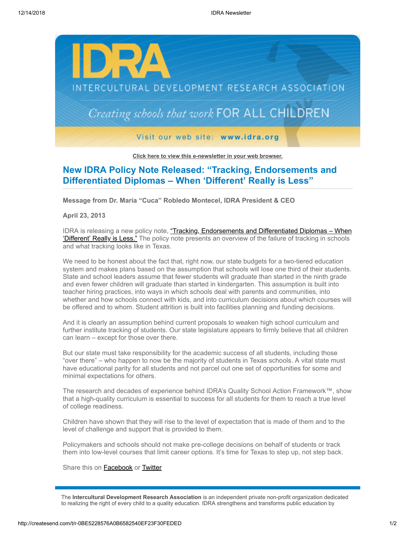

**[Click here to view this e-newsletter in your web browser.](http://newsletter.impulsedevelopment.com/t/r-e-oikdyg-l-r/)**

## **New IDRA Policy Note Released: "Tracking, Endorsements and Differentiated Diplomas – When 'Different' Really is Less"**

**Message from Dr. María "Cuca" Robledo Montecel, IDRA President & CEO**

**April 23, 2013**

IDRA is releasing a new policy note, "Tracking, Endorsements and Differentiated Diplomas - When 'Different' Really is Less." The policy note presents an overview of the failure of tracking in schools and what tracking looks like in Texas.

We need to be honest about the fact that, right now, our state budgets for a two-tiered education system and makes plans based on the assumption that schools will lose one third of their students. State and school leaders assume that fewer students will graduate than started in the ninth grade and even fewer children will graduate than started in kindergarten. This assumption is built into teacher hiring practices, into ways in which schools deal with parents and communities, into whether and how schools connect with kids, and into curriculum decisions about which courses will be offered and to whom. Student attrition is built into facilities planning and funding decisions.

And it is clearly an assumption behind current proposals to weaken high school curriculum and further institute tracking of students. Our state legislature appears to firmly believe that all children can learn – except for those over there.

But our state must take responsibility for the academic success of all students, including those "over there" – who happen to now be the majority of students in Texas schools. A vital state must have educational parity for all students and not parcel out one set of opportunities for some and minimal expectations for others.

The research and decades of experience behind IDRA's Quality School Action Framework™, show that a high-quality curriculum is essential to success for all students for them to reach a true level of college readiness.

Children have shown that they will rise to the level of expectation that is made of them and to the level of challenge and support that is provided to them.

Policymakers and schools should not make pre-college decisions on behalf of students or track them into low-level courses that limit career options. It's time for Texas to step up, not step back.

Share this on [Facebook](http://createsend.com/t/r-fb-oikdyg-l-b/?act=wv) or [Twitter](http://idra.createsend1.com/t/r-tw-oikdyg-l-n/)

The **Intercultural Development Research Association** is an independent private non-profit organization dedicated to realizing the right of every child to a quality education. IDRA strengthens and transforms public education by